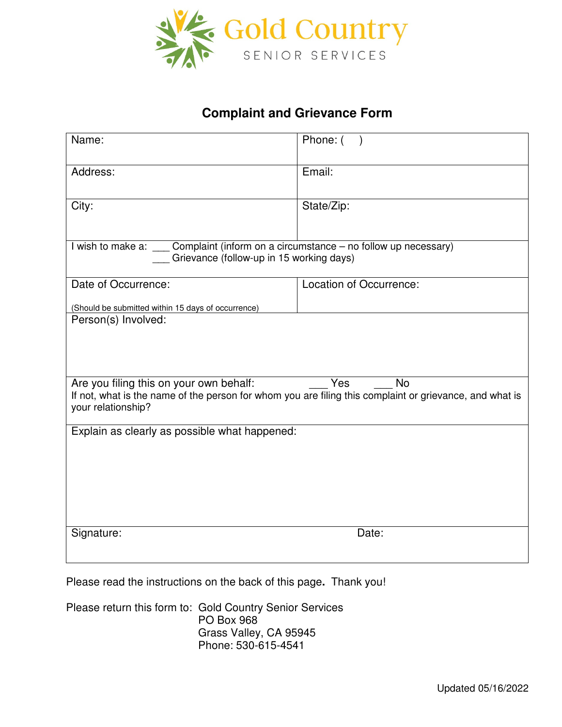

## **Complaint and Grievance Form**

| Name:                                                                                                                                                                                                               | Phone: (                |
|---------------------------------------------------------------------------------------------------------------------------------------------------------------------------------------------------------------------|-------------------------|
| Address:                                                                                                                                                                                                            | Email:                  |
| City:                                                                                                                                                                                                               | State/Zip:              |
| I wish to make a: ____ Complaint (inform on a circumstance - no follow up necessary)<br>Grievance (follow-up in 15 working days)                                                                                    |                         |
| Date of Occurrence:                                                                                                                                                                                                 | Location of Occurrence: |
| (Should be submitted within 15 days of occurrence)                                                                                                                                                                  |                         |
| Person(s) Involved:<br>Are you filing this on your own behalf:<br>Yes<br><b>No</b><br>If not, what is the name of the person for whom you are filing this complaint or grievance, and what is<br>your relationship? |                         |
|                                                                                                                                                                                                                     |                         |
| Explain as clearly as possible what happened:                                                                                                                                                                       |                         |
| Signature:                                                                                                                                                                                                          | Date:                   |

Please read the instructions on the back of this page**.** Thank you!

Please return this form to: Gold Country Senior Services PO Box 968 Grass Valley, CA 95945 Phone: 530-615-4541